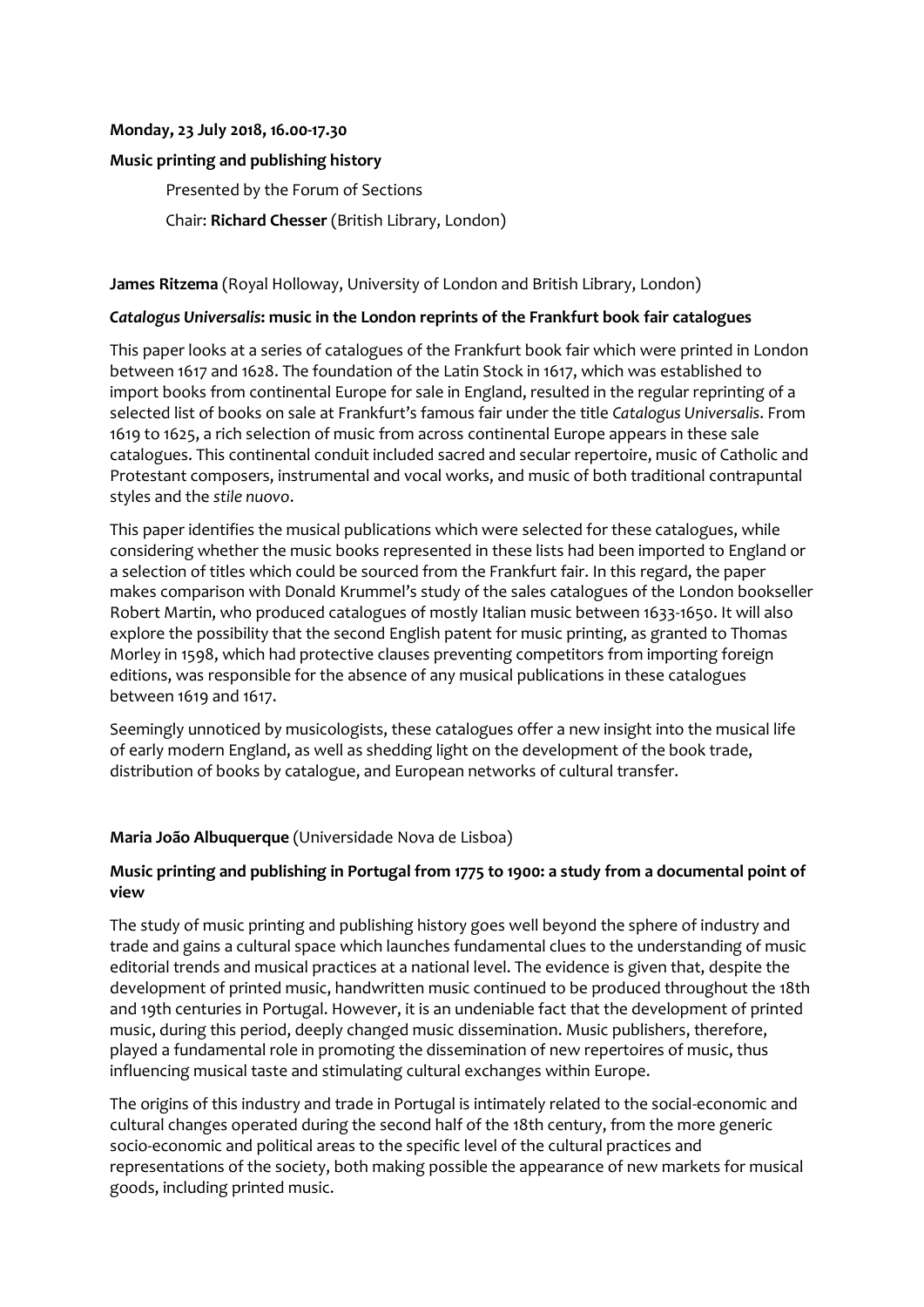#### **Monday, 23 July 2018, 16.00-17.30**

# **Music printing and publishing history**

Presented by the Forum of Sections

Chair: **Richard Chesser** (British Library, London)

### **James Ritzema** (Royal Holloway, University of London and British Library, London)

#### *Catalogus Universalis***: music in the London reprints of the Frankfurt book fair catalogues**

This paper looks at a series of catalogues of the Frankfurt book fair which were printed in London between 1617 and 1628. The foundation of the Latin Stock in 1617, which was established to import books from continental Europe for sale in England, resulted in the regular reprinting of a selected list of books on sale at Frankfurt's famous fair under the title *Catalogus Universalis*. From 1619 to 1625, a rich selection of music from across continental Europe appears in these sale catalogues. This continental conduit included sacred and secular repertoire, music of Catholic and Protestant composers, instrumental and vocal works, and music of both traditional contrapuntal styles and the *stile nuovo*.

This paper identifies the musical publications which were selected for these catalogues, while considering whether the music books represented in these lists had been imported to England or a selection of titles which could be sourced from the Frankfurt fair. In this regard, the paper makes comparison with Donald Krummel's study of the sales catalogues of the London bookseller Robert Martin, who produced catalogues of mostly Italian music between 1633-1650. It will also explore the possibility that the second English patent for music printing, as granted to Thomas Morley in 1598, which had protective clauses preventing competitors from importing foreign editions, was responsible for the absence of any musical publications in these catalogues between 1619 and 1617.

Seemingly unnoticed by musicologists, these catalogues offer a new insight into the musical life of early modern England, as well as shedding light on the development of the book trade, distribution of books by catalogue, and European networks of cultural transfer.

# **Maria João Albuquerque** (Universidade Nova de Lisboa)

# **Music printing and publishing in Portugal from 1775 to 1900: a study from a documental point of view**

The study of music printing and publishing history goes well beyond the sphere of industry and trade and gains a cultural space which launches fundamental clues to the understanding of music editorial trends and musical practices at a national level. The evidence is given that, despite the development of printed music, handwritten music continued to be produced throughout the 18th and 19th centuries in Portugal. However, it is an undeniable fact that the development of printed music, during this period, deeply changed music dissemination. Music publishers, therefore, played a fundamental role in promoting the dissemination of new repertoires of music, thus influencing musical taste and stimulating cultural exchanges within Europe.

The origins of this industry and trade in Portugal is intimately related to the social-economic and cultural changes operated during the second half of the 18th century, from the more generic socio-economic and political areas to the specific level of the cultural practices and representations of the society, both making possible the appearance of new markets for musical goods, including printed music.